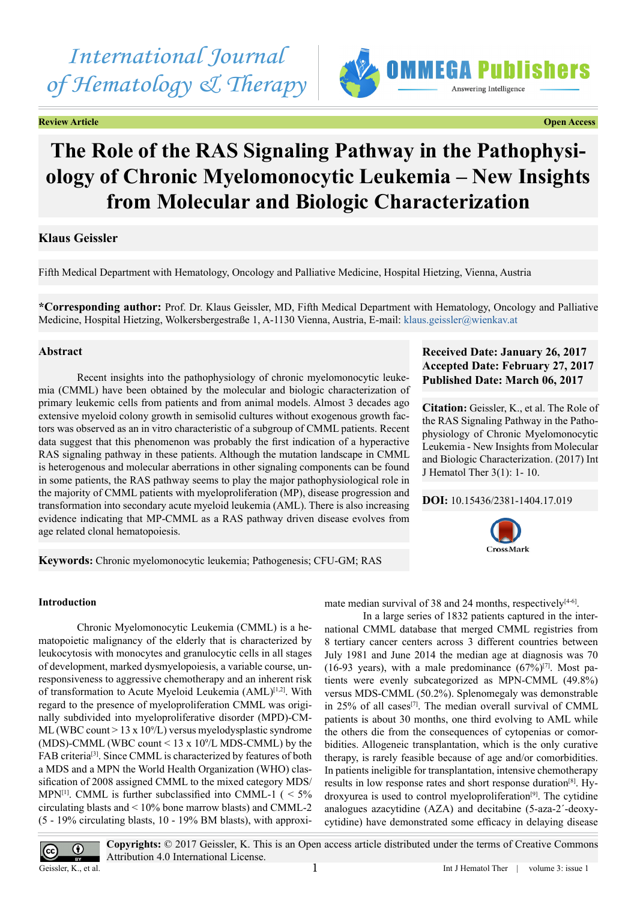# *International Journal of Hematology & Therapy*

**Review Article Open Access**



## **The Role of the RAS Signaling Pathway in the Pathophysiology of Chronic Myelomonocytic Leukemia – New Insights from Molecular and Biologic Characterization**

### **Klaus Geissler**

Fifth Medical Department with Hematology, Oncology and Palliative Medicine, Hospital Hietzing, Vienna, Austria

**\*Corresponding author:** Prof. Dr. Klaus Geissler, MD, Fifth Medical Department with Hematology, Oncology and Palliative Medicine, Hospital Hietzing, Wolkersbergestraße 1, A-1130 Vienna, Austria, E-mail: [klaus.geissler@wienkav.at](mailto:klaus.geissler@wienkav.at)

### **Abstract**

Recent insights into the pathophysiology of chronic myelomonocytic leukemia (CMML) have been obtained by the molecular and biologic characterization of primary leukemic cells from patients and from animal models. Almost 3 decades ago extensive myeloid colony growth in semisolid cultures without exogenous growth factors was observed as an in vitro characteristic of a subgroup of CMML patients. Recent data suggest that this phenomenon was probably the first indication of a hyperactive RAS signaling pathway in these patients. Although the mutation landscape in CMML is heterogenous and molecular aberrations in other signaling components can be found in some patients, the RAS pathway seems to play the major pathophysiological role in the majority of CMML patients with myeloproliferation (MP), disease progression and transformation into secondary acute myeloid leukemia (AML). There is also increasing evidence indicating that MP-CMML as a RAS pathway driven disease evolves from age related clonal hematopoiesis.

### **Keywords:** Chronic myelomonocytic leukemia; Pathogenesis; CFU-GM; RAS

### **Received Date: January 26, 2017 Accepted Date: February 27, 2017 Published Date: March 06, 2017**

**Citation:** Geissler, K., et al. The Role of the RAS Signaling Pathway in the Pathophysiology of Chronic Myelomonocytic Leukemia - New Insights from Molecular and Biologic Characterization. (2017) Int J Hematol Ther 3(1): 1- 10.

### **DOI:** [10.15436/2381-1404.17.0](http://www.dx.doi.org/10.15436/2381-1404.17.019
)19



### **Introduction**

Chronic Myelomonocytic Leukemia (CMML) is a hematopoietic malignancy of the elderly that is characterized by leukocytosis with monocytes and granulocytic cells in all stages of development, marked dysmyelopoiesis, a variable course, unresponsiveness to aggressive chemotherapy and an inherent risk of transformation to Acute Myeloid Leukemia (AML)<sup>[1,2]</sup>. With regard to the presence of myeloproliferation CMML was originally subdivided into myeloproliferative disorder (MPD)-CM-ML (WBC count  $> 13 \times 10^9$ /L) versus myelodysplastic syndrome (MDS)-CMML (WBC count  $\leq 13 \times 10^9$ /L MDS-CMML) by the FAB criteria<sup>[3]</sup>. Since CMML is characterized by features of both a MDS and a MPN the World Health Organization (WHO) classification of 2008 assigned CMML to the mixed category MDS/ MPN<sup>[\[1\]](#page-6-0)</sup>. CMML is further subclassified into CMML-1 ( $\leq 5\%$ ) circulating blasts and < 10% bone marrow blasts) and CMML-2 (5 - 19% circulating blasts, 10 - 19% BM blasts), with approximate median survival of 38 and 24 months, respectively $[4-6]$ .

In a large series of 1832 patients captured in the international CMML database that merged CMML registries from 8 tertiary cancer centers across 3 different countries between July 1981 and June 2014 the median age at diagnosis was 70 (16-93 years), with a male predominance  $(67\%)$ <sup>[\[7\]](#page-6-3)</sup>. Most patients were evenly subcategorized as MPN-CMML (49.8%) versus MDS-CMML (50.2%). Splenomegaly was demonstrable in 25% of all cases<sup>[7]</sup>. The median overall survival of CMML patients is about 30 months, one third evolving to AML while the others die from the consequences of cytopenias or comorbidities. Allogeneic transplantation, which is the only curative therapy, is rarely feasible because of age and/or comorbidities. In patients ineligible for transplantation, intensive chemotherapy results in low response rates and short response duration<sup>[\[8\]](#page-6-4)</sup>. Hydroxyurea is used to control myeloproliferation<sup>[9]</sup>. The cytidine analogues azacytidine (AZA) and decitabine (5-aza-2´-deoxycytidine) have demonstrated some efficacy in delaying disease



**Copyrights:** © 2017 Geissler, K. This is an Open access article distributed under the terms of Creative Commons Attribution 4.0 International License.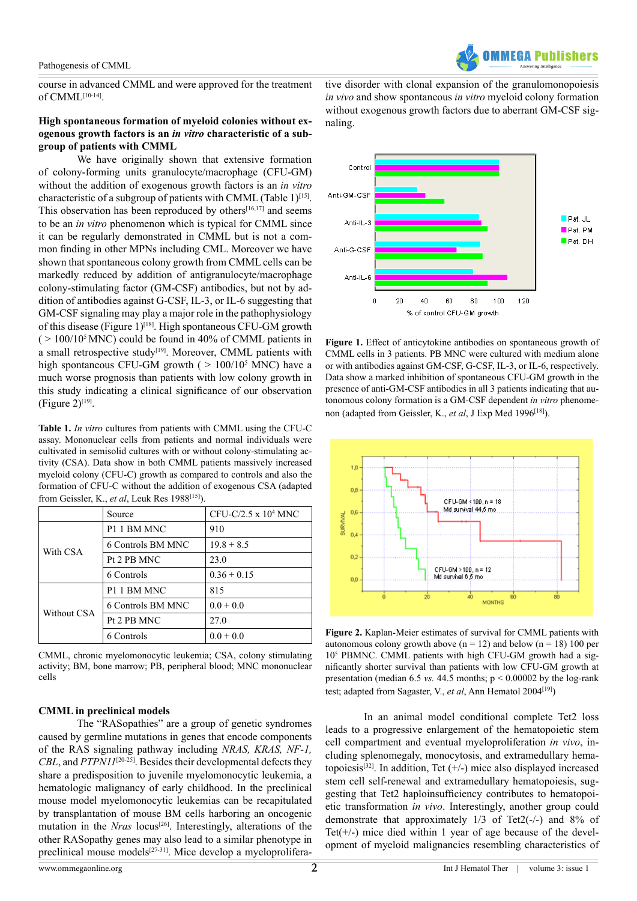course in advanced CMML and were approved for the treatment of CMM[L\[10-14\].](#page-6-6)

### **High spontaneous formation of myeloid colonies without exogenous growth factors is an** *in vitro* **characteristic of a subgroup of patients with CMML**

We have originally shown that extensive formation of colony-forming units granulocyte/macrophage (CFU-GM) without the addition of exogenous growth factors is an *in vitro* characteristic of a subgroup of patients with CMML (Table 1)<sup>[\[15\]](#page-6-7)</sup>. This observation has been reproduced by others $[16,17]$  and seems to be an *in vitro* phenomenon which is typical for CMML since it can be regularly demonstrated in CMML but is not a common finding in other MPNs including CML. Moreover we have shown that spontaneous colony growth from CMML cells can be markedly reduced by addition of antigranulocyte/macrophage colony-stimulating factor (GM-CSF) antibodies, but not by addition of antibodies against G-CSF, IL-3, or IL-6 suggesting that GM-CSF signaling may play a major role in the pathophysiology of this disease (Figure 1)<sup>[\[18\]](#page-7-1)</sup>. High spontaneous CFU-GM growth  $($  > 100/10<sup>5</sup> MNC) could be found in 40% of CMML patients in a small retrospective study<sup>[19]</sup>. Moreover, CMML patients with high spontaneous CFU-GM growth  $($  > 100/10<sup>5</sup> MNC) have a much worse prognosis than patients with low colony growth in this study indicating a clinical significance of our observation  $(Figure 2)^{[19]}$ .

**Table 1.** *In vitro* cultures from patients with CMML using the CFU-C assay. Mononuclear cells from patients and normal individuals were cultivated in semisolid cultures with or without colony-stimulating activity (CSA). Data show in both CMML patients massively increased myeloid colony (CFU-C) growth as compared to controls and also the formation of CFU-C without the addition of exogenous CSA (adapted from Geissler, K., *et al*, Leuk Res 198[8\[15\]](#page-6-7)).

|             | Source                  | CFU-C/2.5 x $104$ MNC |  |
|-------------|-------------------------|-----------------------|--|
| With CSA    | P <sub>1</sub> 1 BM MNC | 910                   |  |
|             | 6 Controls BM MNC       | $19.8 + 8.5$          |  |
|             | Pt 2 PB MNC             | 23.0                  |  |
|             | 6 Controls              | $0.36 + 0.15$         |  |
| Without CSA | P <sub>1</sub> 1 BM MNC | 815                   |  |
|             | 6 Controls BM MNC       | $0.0 + 0.0$           |  |
|             | Pt 2 PB MNC             | 27.0                  |  |
|             | 6 Controls              | $0.0 + 0.0$           |  |

CMML, chronic myelomonocytic leukemia; CSA, colony stimulating activity; BM, bone marrow; PB, peripheral blood; MNC mononuclear cells

### **CMML in preclinical models**

The "RASopathies" are a group of genetic syndromes caused by germline mutations in genes that encode components of the RAS signaling pathway including *NRAS, KRAS, NF-1, CBL*, and *PTPN11*[\[20-25\]](#page-7-3). Besides their developmental defects they share a predisposition to juvenile myelomonocytic leukemia, a hematologic malignancy of early childhood. In the preclinical mouse model myelomonocytic leukemias can be recapitulated by transplantation of mouse BM cells harboring an oncogenic mutation in the *Nras* locus<sup>[\[26\]](#page-7-4)</sup>. Interestingly, alterations of the other RASopathy genes may also lead to a similar phenotype in preclinical mouse models[\[27-31\]](#page-7-5). Mice develop a myeloproliferative disorder with clonal expansion of the granulomonopoiesis *in vivo* and show spontaneous *in vitro* myeloid colony formation without exogenous growth factors due to aberrant GM-CSF signaling.

**FRA Puhlie** 



**Figure 1.** Effect of anticytokine antibodies on spontaneous growth of CMML cells in 3 patients. PB MNC were cultured with medium alone or with antibodies against GM-CSF, G-CSF, IL-3, or IL-6, respectively. Data show a marked inhibition of spontaneous CFU-GM growth in the presence of anti-GM-CSF antibodies in all 3 patients indicating that autonomous colony formation is a GM-CSF dependent *in vitro* phenomenon (adapted from Geissler, K., et al, J Exp Med 1996<sup>[18]</sup>).



**Figure 2.** Kaplan-Meier estimates of survival for CMML patients with autonomous colony growth above ( $n = 12$ ) and below ( $n = 18$ ) 100 per 10<sup>5</sup> PBMNC. CMML patients with high CFU-GM growth had a significantly shorter survival than patients with low CFU-GM growth at presentation (median 6.5 *vs.* 44.5 months;  $p < 0.00002$  by the log-rank test; adapted from Sagaster, V., *et al*, Ann Hematol 2004[\[19\]](#page-7-2))

In an animal model conditional complete Tet2 loss leads to a progressive enlargement of the hematopoietic stem cell compartment and eventual myeloproliferation *in vivo*, including splenomegaly, monocytosis, and extramedullary hema-topoiesis<sup>[\[32\]](#page-7-6)</sup>. In addition, Tet  $(+/-)$  mice also displayed increased stem cell self-renewal and extramedullary hematopoiesis, suggesting that Tet2 haploinsufficiency contributes to hematopoietic transformation *in vivo*. Interestingly, another group could demonstrate that approximately 1/3 of Tet2(-/-) and 8% of Tet( $+/-$ ) mice died within 1 year of age because of the development of myeloid malignancies resembling characteristics of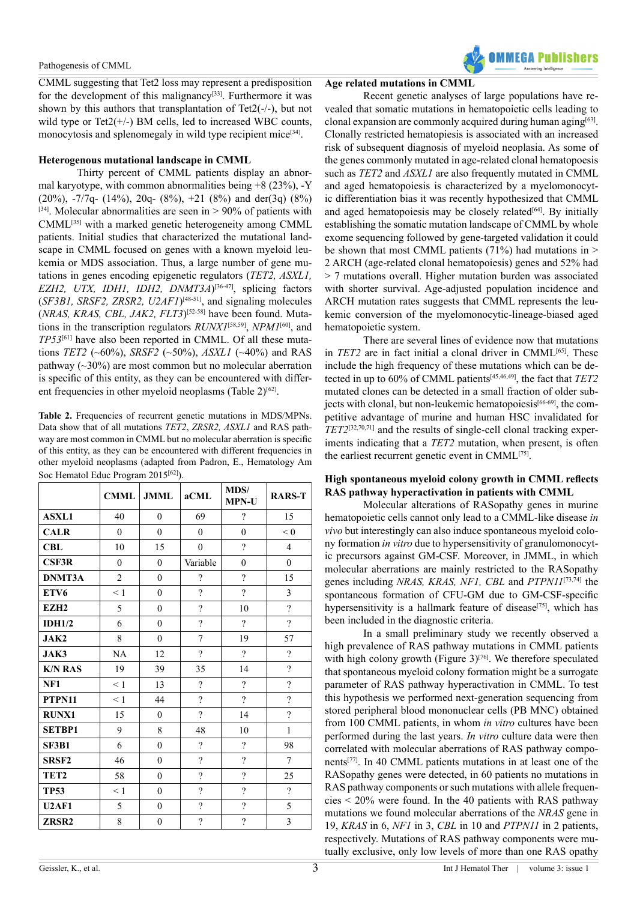CMML suggesting that Tet2 loss may represent a predisposition for the development of this malignancy<sup>[33]</sup>. Furthermore it was shown by this authors that transplantation of Tet2(-/-), but not wild type or Tet $2(+/-)$  BM cells, led to increased WBC counts, monocytosis and splenomegaly in wild type recipient mice<sup>[34]</sup>.

### **Heterogenous mutational landscape in CMML**

Thirty percent of CMML patients display an abnormal karyotype, with common abnormalities being  $+8$  (23%), -Y (20%),  $-7/7q - (14\%)$ , 20q-  $(8\%)$ ,  $+21$   $(8\%)$  and der(3q)  $(8\%)$ [\[34\]](#page-7-8). Molecular abnormalities are seen in  $> 90\%$  of patients with CMML[\[35\]](#page-7-9) with a marked genetic heterogeneity among CMML patients. Initial studies that characterized the mutational landscape in CMML focused on genes with a known myeloid leukemia or MDS association. Thus, a large number of gene mutations in genes encoding epigenetic regulators (*TET2, ASXL1, EZH2, UTX, IDH1, IDH2, DNMT3A*)<sup>[\[36-47\]](#page-7-10)</sup>, splicing factors (*SF3B1, SRSF2, ZRSR2, U2AF1*)<sup>[\[48-51\]](#page-8-0)</sup>, and signaling molecules (*NRAS, KRAS, CBL, JAK2, FLT3*) [\[52-58\]](#page-8-1) have been found. Mutations in the transcription regulators *RUNX1*[\[58,59\]](#page-8-2), *NPM1*[\[60\]](#page-8-3), and *TP53*[\[61\]](#page-8-4) have also been reported in CMML. Of all these mutations *TET2* (~60%), *SRSF2* (~50%), *ASXL1* (~40%) and RAS pathway  $(\sim 30\%)$  are most common but no molecular aberration is specific of this entity, as they can be encountered with different frequencies in other myeloid neoplasms (Table  $2$ )<sup>[\[62\]](#page-8-5)</sup>.

**Table 2.** Frequencies of recurrent genetic mutations in MDS/MPNs. Data show that of all mutations *TET2*, *ZRSR2, ASXL1* and RAS pathway are most common in CMML but no molecular aberration is specific of this entity, as they can be encountered with different frequencies in other myeloid neoplasms (adapted from Padron, E., Hematology Am Soc Hematol Educ Program 2015<sup>[\[62\]](#page-8-5)</sup>).

|                   | <b>CMML</b>    | <b>JMML</b>  | aCML                     | <b>MDS/</b><br><b>MPN-U</b> | <b>RARS-T</b>            |
|-------------------|----------------|--------------|--------------------------|-----------------------------|--------------------------|
| <b>ASXL1</b>      | 40             | $\theta$     | 69                       | $\gamma$                    | 15                       |
| <b>CALR</b>       | $\mathbf{0}$   | $\theta$     | $\theta$                 | $\mathbf{0}$                | < 0                      |
| <b>CBL</b>        | 10             | 15           | $\mathbf{0}$             | $\overline{?}$              | $\overline{4}$           |
| <b>CSF3R</b>      | $\mathbf{0}$   | $\mathbf{0}$ | Variable                 | $\boldsymbol{0}$            | $\mathbf{0}$             |
| DNMT3A            | $\overline{2}$ | $\theta$     | $\overline{\mathcal{L}}$ | $\gamma$                    | 15                       |
| ETV <sub>6</sub>  | < 1            | $\theta$     | $\gamma$                 | $\gamma$                    | 3                        |
| EZH <sub>2</sub>  | 5              | $\mathbf{0}$ | $\overline{\mathcal{L}}$ | 10                          | $\overline{?}$           |
| IDH1/2            | 6              | $\mathbf{0}$ | $\overline{\mathcal{L}}$ | $\gamma$                    | $\overline{\mathcal{L}}$ |
| JAK2              | 8              | $\mathbf{0}$ | $\overline{7}$           | 19                          | 57                       |
| JAK3              | NA             | 12           | $\gamma$                 | $\gamma$                    | $\overline{\mathcal{C}}$ |
| <b>K/N RAS</b>    | 19             | 39           | 35                       | 14                          | $\overline{?}$           |
| NF1               | $\leq 1$       | 13           | $\overline{?}$           | $\gamma$                    | $\overline{?}$           |
| PTPN11            | $\leq 1$       | 44           | $\overline{?}$           | $\overline{?}$              | $\overline{?}$           |
| <b>RUNX1</b>      | 15             | $\theta$     | $\overline{?}$           | 14                          | $\overline{?}$           |
| <b>SETBP1</b>     | 9              | 8            | 48                       | 10                          | $\mathbf{1}$             |
| <b>SF3B1</b>      | 6              | $\mathbf{0}$ | $\overline{\mathcal{L}}$ | $\gamma$                    | 98                       |
| SRSF <sub>2</sub> | 46             | $\mathbf{0}$ | $\overline{?}$           | $\overline{\mathcal{L}}$    | $\overline{7}$           |
| TET <sub>2</sub>  | 58             | $\theta$     | $\overline{\mathcal{L}}$ | $\overline{?}$              | 25                       |
| <b>TP53</b>       | $\leq 1$       | $\theta$     | $\gamma$                 | $\overline{?}$              | $\overline{?}$           |
| <b>U2AF1</b>      | 5              | $\theta$     | $\overline{?}$           | $\overline{\mathcal{L}}$    | 5                        |
| ZRSR <sub>2</sub> | 8              | $\mathbf{0}$ | $\overline{?}$           | $\gamma$                    | $\mathfrak{Z}$           |

### **Age related mutations in CMML**

Recent genetic analyses of large populations have revealed that somatic mutations in hematopoietic cells leading to clonal expansion are commonly acquired during human aging<sup>[\[63\]](#page-8-6)</sup>. Clonally restricted hematopiesis is associated with an increased risk of subsequent diagnosis of myeloid neoplasia. As some of the genes commonly mutated in age-related clonal hematopoesis such as *TET2* and *ASXL1* are also frequently mutated in CMML and aged hematopoiesis is characterized by a myelomonocytic differentiation bias it was recently hypothesized that CMML and aged hematopoiesis may be closely related<sup>[\[64\]](#page-8-7)</sup>. By initially establishing the somatic mutation landscape of CMML by whole exome sequencing followed by gene-targeted validation it could be shown that most CMML patients  $(71\%)$  had mutations in > 2 ARCH (age-related clonal hematopoiesis) genes and 52% had > 7 mutations overall. Higher mutation burden was associated with shorter survival. Age-adjusted population incidence and ARCH mutation rates suggests that CMML represents the leukemic conversion of the myelomonocytic-lineage-biased aged hematopoietic system.

There are several lines of evidence now that mutations in *TET2* are in fact initial a clonal driver in CMML<sup>[\[65\]](#page-8-8)</sup>. These include the high frequency of these mutations which can be detected in up to 60% of CMML patient[s\[45,46,49\]](#page-7-11), the fact that *TET2* mutated clones can be detected in a small fraction of older sub-jects with clonal, but non-leukemic hematopoiesis<sup>[\[66-69\]](#page-8-9)</sup>, the competitive advantage of murine and human HSC invalidated for *TET2*[\[32,70,71\]](#page-7-6) and the results of single-cell clonal tracking experiments indicating that a *TET2* mutation, when present, is often the earliest recurrent genetic event in CMML[\[75\]](#page-8-10).

### **High spontaneous myeloid colony growth in CMML reflects RAS pathway hyperactivation in patients with CMML**

Molecular alterations of RASopathy genes in murine hematopoietic cells cannot only lead to a CMML-like disease *in vivo* but interestingly can also induce spontaneous myeloid colony formation *in vitro* due to hypersensitivity of granulomonocytic precursors against GM-CSF. Moreover, in JMML, in which molecular aberrations are mainly restricted to the RASopathy genes including *NRAS, KRAS, NF1, CBL* and *PTPN11*[\[73,74\]](#page-8-11) the spontaneous formation of CFU-GM due to GM-CSF-specific hypersensitivity is a hallmark feature of disease<sup>[\[75\]](#page-8-12)</sup>, which has been included in the diagnostic criteria.

In a small preliminary study we recently observed a high prevalence of RAS pathway mutations in CMML patients with high colony growth (Figure  $3$ )<sup>[\[76\]](#page-9-0)</sup>. We therefore speculated that spontaneous myeloid colony formation might be a surrogate parameter of RAS pathway hyperactivation in CMML. To test this hypothesis we performed next-generation sequencing from stored peripheral blood mononuclear cells (PB MNC) obtained from 100 CMML patients, in whom *in vitro* cultures have been performed during the last years. *In vitro* culture data were then correlated with molecular aberrations of RAS pathway components[\[77\]](#page-9-1). In 40 CMML patients mutations in at least one of the RASopathy genes were detected, in 60 patients no mutations in RAS pathway components or such mutations with allele frequencies < 20% were found. In the 40 patients with RAS pathway mutations we found molecular aberrations of the *NRAS* gene in 19, *KRAS* in 6, *NF1* in 3, *CBL* in 10 and *PTPN11* in 2 patients, respectively. Mutations of RAS pathway components were mutually exclusive, only low levels of more than one RAS opathy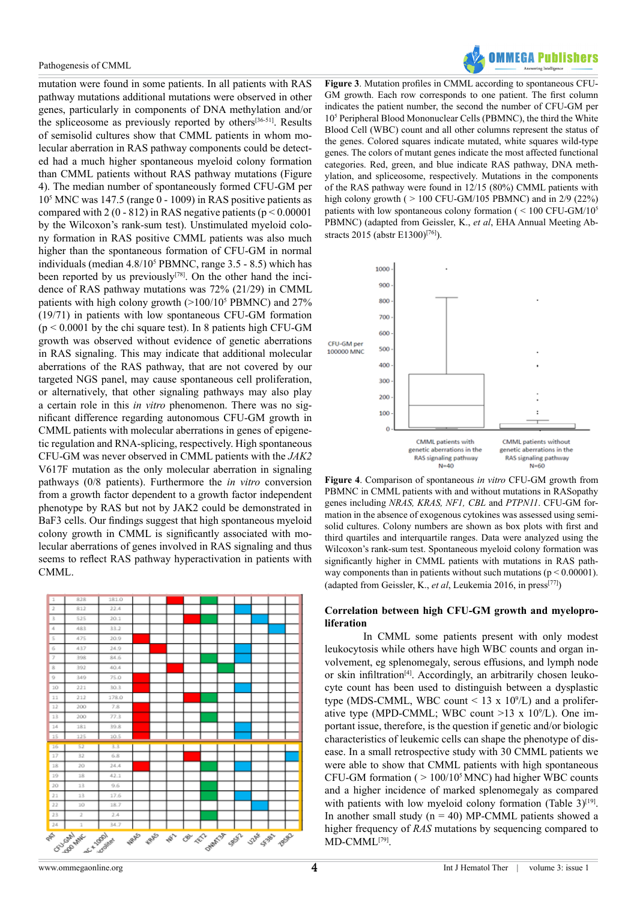mutation were found in some patients. In all patients with RAS pathway mutations additional mutations were observed in other genes, particularly in components of DNA methylation and/or the spliceosome as previously reported by others[\[36-51\]](#page-7-10). Results of semisolid cultures show that CMML patients in whom molecular aberration in RAS pathway components could be detected had a much higher spontaneous myeloid colony formation than CMML patients without RAS pathway mutations (Figure 4). The median number of spontaneously formed CFU-GM per 10<sup>5</sup> MNC was 147.5 (range 0 - 1009) in RAS positive patients as compared with 2 (0 - 812) in RAS negative patients ( $p < 0.00001$ ) by the Wilcoxon's rank-sum test). Unstimulated myeloid colony formation in RAS positive CMML patients was also much higher than the spontaneous formation of CFU-GM in normal individuals (median 4.8/105 PBMNC, range 3.5 - 8.5) which has been reported by us previously<sup>[\[78\]](#page-9-2)</sup>. On the other hand the incidence of RAS pathway mutations was 72% (21/29) in CMML patients with high colony growth (>100/10<sup>5</sup> PBMNC) and 27% (19/71) in patients with low spontaneous CFU-GM formation  $(p < 0.0001$  by the chi square test). In 8 patients high CFU-GM growth was observed without evidence of genetic aberrations in RAS signaling. This may indicate that additional molecular aberrations of the RAS pathway, that are not covered by our targeted NGS panel, may cause spontaneous cell proliferation, or alternatively, that other signaling pathways may also play a certain role in this *in vitro* phenomenon. There was no significant difference regarding autonomous CFU-GM growth in CMML patients with molecular aberrations in genes of epigenetic regulation and RNA-splicing, respectively. High spontaneous CFU-GM was never observed in CMML patients with the *JAK2* V617F mutation as the only molecular aberration in signaling pathways (0/8 patients). Furthermore the *in vitro* conversion from a growth factor dependent to a growth factor independent phenotype by RAS but not by JAK2 could be demonstrated in BaF3 cells. Our findings suggest that high spontaneous myeloid colony growth in CMML is significantly associated with molecular aberrations of genes involved in RAS signaling and thus seems to reflect RAS pathway hyperactivation in patients with CMML.



**Figure 3**. Mutation profiles in CMML according to spontaneous CFU-GM growth. Each row corresponds to one patient. The first column indicates the patient number, the second the number of CFU-GM per 10<sup>5</sup> Peripheral Blood Mononuclear Cells (PBMNC), the third the White Blood Cell (WBC) count and all other columns represent the status of the genes. Colored squares indicate mutated, white squares wild-type genes. The colors of mutant genes indicate the most affected functional categories. Red, green, and blue indicate RAS pathway, DNA methylation, and spliceosome, respectively. Mutations in the components of the RAS pathway were found in 12/15 (80%) CMML patients with high colony growth ( $> 100$  CFU-GM/105 PBMNC) and in 2/9 (22%) patients with low spontaneous colony formation ( < 100 CFU-GM/10<sup>5</sup> PBMNC) (adapted from Geissler, K., *et al*, EHA Annual Meeting Abstracts 2015 (abstr E1300[\)\[76\]](#page-9-0)).



**Figure 4**. Comparison of spontaneous *in vitro* CFU-GM growth from PBMNC in CMML patients with and without mutations in RASopathy genes including *NRAS, KRAS, NF1, CBL* and *PTPN11*. CFU-GM formation in the absence of exogenous cytokines was assessed using semisolid cultures. Colony numbers are shown as box plots with first and third quartiles and interquartile ranges. Data were analyzed using the Wilcoxon's rank-sum test. Spontaneous myeloid colony formation was significantly higher in CMML patients with mutations in RAS pathway components than in patients without such mutations ( $p \le 0.00001$ ). (adapted from Geissler, K., *et al*, Leukemia 2016, in press[\[77\]\)](#page-9-1)

### **Correlation between high CFU-GM growth and myeloproliferation**

In CMML some patients present with only modest leukocytosis while others have high WBC counts and organ involvement, eg splenomegaly, serous effusions, and lymph node or skin infiltration<sup>[4]</sup>. Accordingly, an arbitrarily chosen leukocyte count has been used to distinguish between a dysplastic type (MDS-CMML, WBC count  $\leq$  13 x 10<sup>9</sup>/L) and a proliferative type (MPD-CMML; WBC count  $>13 \times 10^9$ /L). One important issue, therefore, is the question if genetic and/or biologic characteristics of leukemic cells can shape the phenotype of disease. In a small retrospective study with 30 CMML patients we were able to show that CMML patients with high spontaneous CFU-GM formation ( $> 100/10<sup>5</sup>$  MNC) had higher WBC counts and a higher incidence of marked splenomegaly as compared with patients with low myeloid colony formation (Table  $3$ )<sup>[19]</sup>. In another small study  $(n = 40)$  MP-CMML patients showed a higher frequency of *RAS* mutations by sequencing compared to MD-CMML[\[79\]](#page-9-3).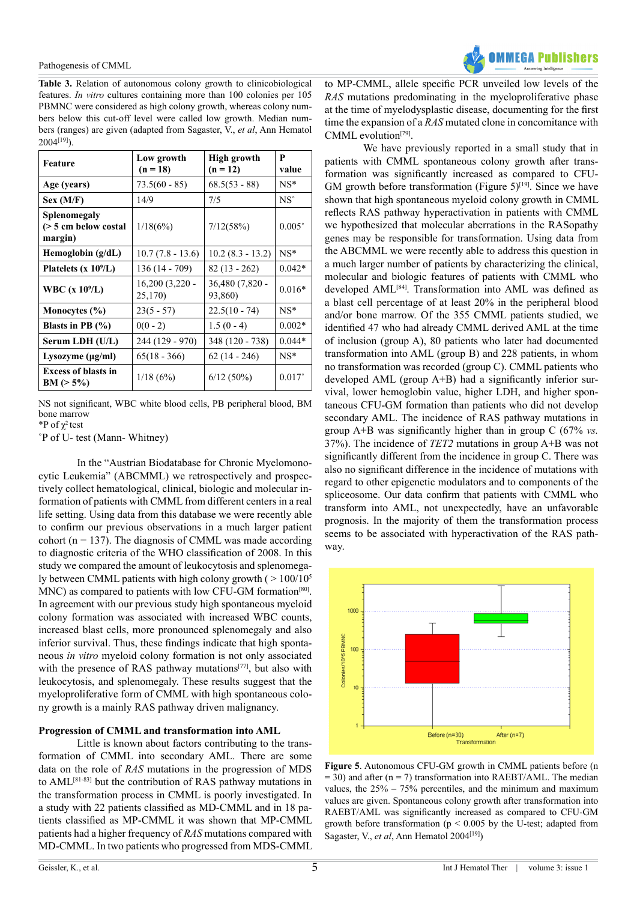

**Table 3.** Relation of autonomous colony growth to clinicobiological features. *In vitro* cultures containing more than 100 colonies per 105 PBMNC were considered as high colony growth, whereas colony numbers below this cut-off level were called low growth. Median numbers (ranges) are given (adapted from Sagaster, V., *et al*, Ann Hematol 2004[\[19\]\)](#page-7-2).

| Feature                                         | Low growth<br>$(n = 18)$    | High growth<br>$(n = 12)$  | P<br>value      |
|-------------------------------------------------|-----------------------------|----------------------------|-----------------|
| Age (years)                                     | $73.5(60 - 85)$             | $68.5(53 - 88)$            | $NS*$           |
| Sex (M/F)                                       | 14/9                        | 7/5                        | $NS^{\circ}$    |
| Splenomegaly<br>(> 5 cm below costal<br>margin) | 1/18(6%)                    | 7/12(58%)                  | $0.005^\circ$   |
| Hemoglobin $(g/dL)$                             | $10.7(7.8 - 13.6)$          | $10.2 (8.3 - 13.2)$        | $NS*$           |
| Platelets $(x 109/L)$                           | 136 (14 - 709)              | $82(13 - 262)$             | $0.042*$        |
| WBC $(x 109/L)$                                 | $16,200(3,220 -$<br>25,170) | 36,480 (7,820 -<br>93,860) | $0.016*$        |
| Monocytes $(\% )$                               | $23(5 - 57)$                | $22.5(10 - 74)$            | $NS^*$          |
| Blasts in PB $(\% )$                            | $0(0 - 2)$                  | $1.5(0-4)$                 | $0.002*$        |
| Serum LDH (U/L)                                 | 244 (129 - 970)             | 348 (120 - 738)            | $0.044*$        |
| Lysozyme $(\mu g/ml)$                           | $65(18 - 366)$              | $62(14 - 246)$             | $NS^*$          |
| <b>Excess of blasts in</b><br>$BM (> 5\%)$      | 1/18(6%)                    | $6/12(50\%)$               | $0.017^{\circ}$ |

NS not significant, WBC white blood cells, PB peripheral blood, BM bone marrow

\*P of  $\chi^2$  test

˚P of U- test (Mann- Whitney)

In the "Austrian Biodatabase for Chronic Myelomonocytic Leukemia" (ABCMML) we retrospectively and prospectively collect hematological, clinical, biologic and molecular information of patients with CMML from different centers in a real life setting. Using data from this database we were recently able to confirm our previous observations in a much larger patient cohort ( $n = 137$ ). The diagnosis of CMML was made according to diagnostic criteria of the WHO classification of 2008. In this study we compared the amount of leukocytosis and splenomegaly between CMML patients with high colony growth ( $> 100/10<sup>5</sup>$ ) MNC) as compared to patients with low CFU-GM formation<sup>[\[80\]](#page-9-4)</sup>. In agreement with our previous study high spontaneous myeloid colony formation was associated with increased WBC counts, increased blast cells, more pronounced splenomegaly and also inferior survival. Thus, these findings indicate that high spontaneous *in vitro* myeloid colony formation is not only associated with the presence of RAS pathway mutations<sup>[\[77\]](#page-9-1)</sup>, but also with leukocytosis, and splenomegaly. These results suggest that the myeloproliferative form of CMML with high spontaneous colony growth is a mainly RAS pathway driven malignancy.

### **Progression of CMML and transformation into AML**

Little is known about factors contributing to the transformation of CMML into secondary AML. There are some data on the role of *RAS* mutations in the progression of MDS to AML<sup>[\[81-83\]](#page-9-5)</sup> but the contribution of RAS pathway mutations in the transformation process in CMML is poorly investigated. In a study with 22 patients classified as MD-CMML and in 18 patients classified as MP-CMML it was shown that MP-CMML patients had a higher frequency of *RAS* mutations compared with MD-CMML. In two patients who progressed from MDS-CMML

to MP-CMML, allele specific PCR unveiled low levels of the *RAS* mutations predominating in the myeloproliferative phase at the time of myelodysplastic disease, documenting for the first time the expansion of a *RAS* mutated clone in concomitance with CMML evolutio[n\[79\].](#page-9-3)

We have previously reported in a small study that in patients with CMML spontaneous colony growth after transformation was significantly increased as compared to CFU-GM growth before transformation (Figure  $5$ )<sup>[\[19\]](#page-7-2)</sup>. Since we have shown that high spontaneous myeloid colony growth in CMML reflects RAS pathway hyperactivation in patients with CMML we hypothesized that molecular aberrations in the RASopathy genes may be responsible for transformation. Using data from the ABCMML we were recently able to address this question in a much larger number of patients by characterizing the clinical, molecular and biologic features of patients with CMML who developed AML[\[84\]](#page-9-6). Transformation into AML was defined as a blast cell percentage of at least 20% in the peripheral blood and/or bone marrow. Of the 355 CMML patients studied, we identified 47 who had already CMML derived AML at the time of inclusion (group A), 80 patients who later had documented transformation into AML (group B) and 228 patients, in whom no transformation was recorded (group C). CMML patients who developed AML (group A+B) had a significantly inferior survival, lower hemoglobin value, higher LDH, and higher spontaneous CFU-GM formation than patients who did not develop secondary AML. The incidence of RAS pathway mutations in group A+B was significantly higher than in group C (67% *vs.*  37%). The incidence of *TET2* mutations in group A+B was not significantly different from the incidence in group C. There was also no significant difference in the incidence of mutations with regard to other epigenetic modulators and to components of the spliceosome. Our data confirm that patients with CMML who transform into AML, not unexpectedly, have an unfavorable prognosis. In the majority of them the transformation process seems to be associated with hyperactivation of the RAS pathway.



**Figure 5**. Autonomous CFU-GM growth in CMML patients before (n  $= 30$ ) and after (n  $= 7$ ) transformation into RAEBT/AML. The median values, the  $25\% - 75\%$  percentiles, and the minimum and maximum values are given. Spontaneous colony growth after transformation into RAEBT/AML was significantly increased as compared to CFU-GM growth before transformation ( $p < 0.005$  by the U-test; adapted from Sagaster, V., et al, Ann Hematol 2004<sup>[19]</sup>)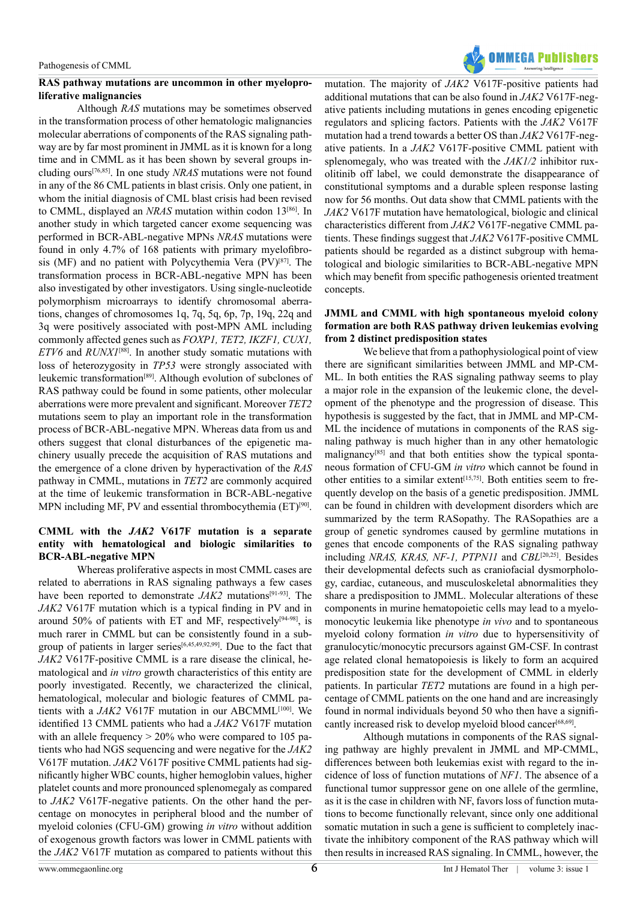### **RAS pathway mutations are uncommon in other myeloproliferative malignancies**

Although *RAS* mutations may be sometimes observed in the transformation process of other hematologic malignancies molecular aberrations of components of the RAS signaling pathway are by far most prominent in JMML as it is known for a long time and in CMML as it has been shown by several groups including ours[\[76,85\]](#page-9-0). In one study *NRAS* mutations were not found in any of the 86 CML patients in blast crisis. Only one patient, in whom the initial diagnosis of CML blast crisis had been revised to CMML, displayed an *NRAS* mutation within codon 13[\[86\]](#page-9-7). In another study in which targeted cancer exome sequencing was performed in BCR-ABL-negative MPNs *NRAS* mutations were found in only 4.7% of 168 patients with primary myelofibrosis (MF) and no patient with Polycythemia Vera (PV)[\[87\]](#page-9-8). The transformation process in BCR-ABL-negative MPN has been also investigated by other investigators. Using single-nucleotide polymorphism microarrays to identify chromosomal aberrations, changes of chromosomes 1q, 7q, 5q, 6p, 7p, 19q, 22q and 3q were positively associated with post-MPN AML including commonly affected genes such as *FOXP1, TET2, IKZF1, CUX1, ETV6* and *RUNX1*[\[88\]](#page-9-9). In another study somatic mutations with loss of heterozygosity in *TP53* were strongly associated with leukemic transformation[\[89\]](#page-9-10). Although evolution of subclones of RAS pathway could be found in some patients, other molecular aberrations were more prevalent and significant. Moreover *TET2* mutations seem to play an important role in the transformation process of BCR-ABL-negative MPN. Whereas data from us and others suggest that clonal disturbances of the epigenetic machinery usually precede the acquisition of RAS mutations and the emergence of a clone driven by hyperactivation of the *RAS* pathway in CMML, mutations in *TET2* are commonly acquired at the time of leukemic transformation in BCR-ABL-negative MPN including MF, PV and essential thrombocythemia  $(ET)^{[90]}$ .

### **CMML with the** *JAK2* **V617F mutation is a separate entity with hematological and biologic similarities to BCR-ABL-negative MPN**

Whereas proliferative aspects in most CMML cases are related to aberrations in RAS signaling pathways a few cases have been reported to demonstrate *JAK2* mutations<sup>[\[91-93\]](#page-9-12)</sup>. The *JAK2* V617F mutation which is a typical finding in PV and in around 50% of patients with ET and MF, respectively<sup>[94-98]</sup>, is much rarer in CMML but can be consistently found in a subgroup of patients in larger series[\[6,45,49,92,99\]](#page-6-8). Due to the fact that *JAK2* V617F-positive CMML is a rare disease the clinical, hematological and *in vitro* growth characteristics of this entity are poorly investigated. Recently, we characterized the clinical, hematological, molecular and biologic features of CMML patients with a *JAK2* V617F mutation in our ABCMML<sup>[100]</sup>. We identified 13 CMML patients who had a *JAK2* V617F mutation with an allele frequency  $> 20\%$  who were compared to 105 patients who had NGS sequencing and were negative for the *JAK2*  V617F mutation. *JAK2* V617F positive CMML patients had significantly higher WBC counts, higher hemoglobin values, higher platelet counts and more pronounced splenomegaly as compared to *JAK2* V617F-negative patients. On the other hand the percentage on monocytes in peripheral blood and the number of myeloid colonies (CFU-GM) growing *in vitro* without addition of exogenous growth factors was lower in CMML patients with the *JAK2* V617F mutation as compared to patients without this



mutation. The majority of *JAK2* V617F-positive patients had additional mutations that can be also found in *JAK2* V617F-negative patients including mutations in genes encoding epigenetic regulators and splicing factors. Patients with the *JAK2* V617F mutation had a trend towards a better OS than *JAK2* V617F-negative patients. In a *JAK2* V617F-positive CMML patient with splenomegaly, who was treated with the *JAK1/2* inhibitor ruxolitinib off label, we could demonstrate the disappearance of constitutional symptoms and a durable spleen response lasting now for 56 months. Out data show that CMML patients with the *JAK2* V617F mutation have hematological, biologic and clinical characteristics different from *JAK2* V617F-negative CMML patients. These findings suggest that *JAK2* V617F-positive CMML patients should be regarded as a distinct subgroup with hematological and biologic similarities to BCR-ABL-negative MPN which may benefit from specific pathogenesis oriented treatment concepts.

### **JMML and CMML with high spontaneous myeloid colony formation are both RAS pathway driven leukemias evolving from 2 distinct predisposition states**

We believe that from a pathophysiological point of view there are significant similarities between JMML and MP-CM-ML. In both entities the RAS signaling pathway seems to play a major role in the expansion of the leukemic clone, the development of the phenotype and the progression of disease. This hypothesis is suggested by the fact, that in JMML and MP-CM-ML the incidence of mutations in components of the RAS signaling pathway is much higher than in any other hematologic malignancy<sup>[\[85\]](#page-9-15)</sup> and that both entities show the typical spontaneous formation of CFU-GM *in vitro* which cannot be found in other entities to a similar extent<sup>[\[15,75\]](#page-6-7)</sup>. Both entities seem to frequently develop on the basis of a genetic predisposition. JMML can be found in children with development disorders which are summarized by the term RASopathy. The RASopathies are a group of genetic syndromes caused by germline mutations in genes that encode components of the RAS signaling pathway including *NRAS, KRAS, NF-1, PTPN11* and *CBL*[\[20,25\]](#page-7-3). Besides their developmental defects such as craniofacial dysmorphology, cardiac, cutaneous, and musculoskeletal abnormalities they share a predisposition to JMML. Molecular alterations of these components in murine hematopoietic cells may lead to a myelomonocytic leukemia like phenotype *in vivo* and to spontaneous myeloid colony formation *in vitro* due to hypersensitivity of granulocytic/monocytic precursors against GM-CSF. In contrast age related clonal hematopoiesis is likely to form an acquired predisposition state for the development of CMML in elderly patients. In particular *TET2* mutations are found in a high percentage of CMML patients on the one hand and are increasingly found in normal individuals beyond 50 who then have a signifi-cantly increased risk to develop myeloid blood cancer<sup>[\[68,69\]](#page-8-13)</sup>.

Although mutations in components of the RAS signaling pathway are highly prevalent in JMML and MP-CMML, differences between both leukemias exist with regard to the incidence of loss of function mutations of *NF1*. The absence of a functional tumor suppressor gene on one allele of the germline, as it is the case in children with NF, favors loss of function mutations to become functionally relevant, since only one additional somatic mutation in such a gene is sufficient to completely inactivate the inhibitory component of the RAS pathway which will then results in increased RAS signaling. In CMML, however, the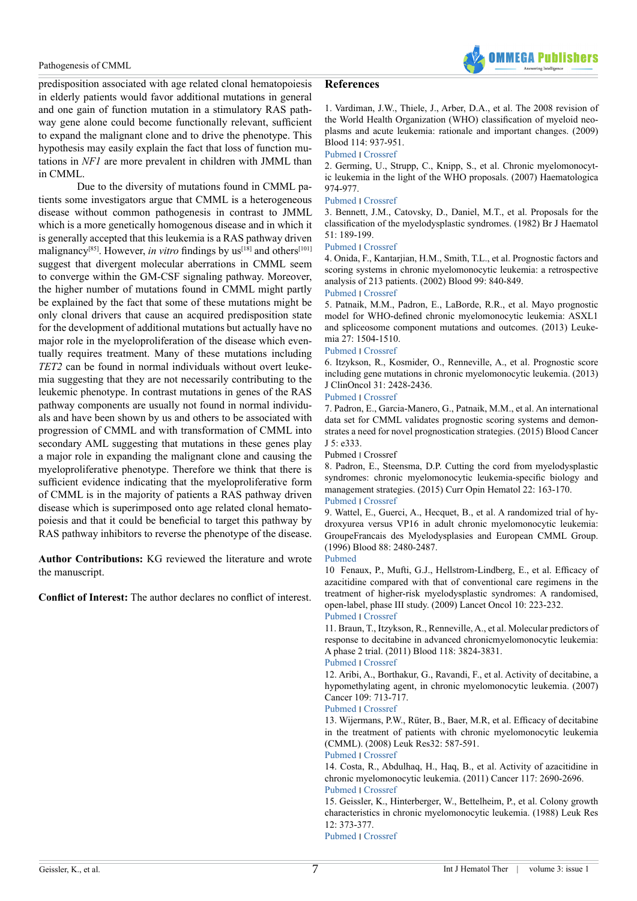

predisposition associated with age related clonal hematopoiesis in elderly patients would favor additional mutations in general and one gain of function mutation in a stimulatory RAS pathway gene alone could become functionally relevant, sufficient to expand the malignant clone and to drive the phenotype. This hypothesis may easily explain the fact that loss of function mutations in *NF1* are more prevalent in children with JMML than in CMML.

Due to the diversity of mutations found in CMML patients some investigators argue that CMML is a heterogeneous disease without common pathogenesis in contrast to JMML which is a more genetically homogenous disease and in which it is generally accepted that this leukemia is a RAS pathway driven malignancy<sup>[\[85\]](#page-9-15)</sup>. However, *in vitro* findings by us<sup>[\[18\]](#page-7-1)</sup> and others<sup>[101]</sup> suggest that divergent molecular aberrations in CMML seem to converge within the GM-CSF signaling pathway. Moreover, the higher number of mutations found in CMML might partly be explained by the fact that some of these mutations might be only clonal drivers that cause an acquired predisposition state for the development of additional mutations but actually have no major role in the myeloproliferation of the disease which eventually requires treatment. Many of these mutations including *TET2* can be found in normal individuals without overt leukemia suggesting that they are not necessarily contributing to the leukemic phenotype. In contrast mutations in genes of the RAS pathway components are usually not found in normal individuals and have been shown by us and others to be associated with progression of CMML and with transformation of CMML into secondary AML suggesting that mutations in these genes play a major role in expanding the malignant clone and causing the myeloproliferative phenotype. Therefore we think that there is sufficient evidence indicating that the myeloproliferative form of CMML is in the majority of patients a RAS pathway driven disease which is superimposed onto age related clonal hematopoiesis and that it could be beneficial to target this pathway by RAS pathway inhibitors to reverse the phenotype of the disease.

**Author Contributions:** KG reviewed the literature and wrote the manuscript.

**Conflict of Interest:** The author declares no conflict of interest.

### **References**

<span id="page-6-0"></span>1. Vardiman, J.W., Thiele, J., Arber, D.A., et al. The 2008 revision of the World Health Organization (WHO) classification of myeloid neoplasms and acute leukemia: rationale and important changes. (2009) Blood 114: 937-951.

[Pubmed](https://www.ncbi.nlm.nih.gov/pubmed/19357394) ׀ [Crossref](http://www.bloodjournal.org/content/114/5/937?sso-checked=true)

2. Germing, U., Strupp, C., Knipp, S., et al. Chronic myelomonocytic leukemia in the light of the WHO proposals. (2007) Haematologica 974-977.

### [Pubmed](https://www.ncbi.nlm.nih.gov/pubmed/17606449) ׀ [Crossref](http://www.haematologica.org/content/92/7/974)

<span id="page-6-1"></span>3. Bennett, J.M., Catovsky, D., Daniel, M.T., et al. Proposals for the classification of the myelodysplastic syndromes. (1982) Br J Haematol 51: 189-199.

### [Pubmed](https://www.ncbi.nlm.nih.gov/pubmed/6952920) ׀ [Crossref](http://onlinelibrary.wiley.com/resolve/doi?DOI=10.1111/j.1365-2141.1982.tb08475.x)

<span id="page-6-2"></span>4. Onida, F., Kantarjian, H.M., Smith, T.L., et al. Prognostic factors and scoring systems in chronic myelomonocytic leukemia: a retrospective analysis of 213 patients. (2002) Blood 99: 840-849.

### [Pubmed](https://www.ncbi.nlm.nih.gov/pubmed/11806985) ׀ [Crossref](http://www.bloodjournal.org/content/99/3/840?sso-checked=true)

5. Patnaik, M.M., Padron, E., LaBorde, R.R., et al. Mayo prognostic model for WHO-defined chronic myelomonocytic leukemia: ASXL1 and spliceosome component mutations and outcomes. (2013) Leukemia 27: 1504-1510.

### [Pubmed](https://www.ncbi.nlm.nih.gov/pubmed/23531518) ׀ [Crossref](http://www.nature.com/leu/journal/v27/n7/full/leu201388a.html)

<span id="page-6-8"></span>6. Itzykson, R., Kosmider, O., Renneville, A., et al. Prognostic score including gene mutations in chronic myelomonocytic leukemia. (2013) J ClinOncol 31: 2428-2436.

### [Pubmed](https://www.ncbi.nlm.nih.gov/pubmed/23690417) ׀ [Crossref](http://ascopubs.org/doi/full/10.1200/JCO.2012.47.3314)

<span id="page-6-3"></span>7. Padron, E., Garcia-Manero, G., Patnaik, M.M., et al. An international data set for CMML validates prognostic scoring systems and demonstrates a need for novel prognostication strategies. (2015) Blood Cancer  $J 5. e333$ 

### Pubmed ׀ Crossref

<span id="page-6-4"></span>8. Padron, E., Steensma, D.P. Cutting the cord from myelodysplastic syndromes: chronic myelomonocytic leukemia-specific biology and management strategies. (2015) Curr Opin Hematol 22: 163-170. [Pubmed](https://www.ncbi.nlm.nih.gov/pubmed/26230957) ׀ [Crossref](http://www.nature.com/bcj/journal/v5/n7/full/bcj201553a.html)

<span id="page-6-5"></span>9. Wattel, E., Guerci, A., Hecquet, B., et al. A randomized trial of hydroxyurea versus VP16 in adult chronic myelomonocytic leukemia: GroupeFrancais des Myelodysplasies and European CMML Group. (1996) Blood 88: 2480-2487.

### [Pubmed](https://www.ncbi.nlm.nih.gov/pubmed/8839839)

<span id="page-6-6"></span>10 Fenaux, P., Mufti, G.J., Hellstrom-Lindberg, E., et al. Efficacy of azacitidine compared with that of conventional care regimens in the treatment of higher-risk myelodysplastic syndromes: A randomised, open-label, phase III study. (2009) Lancet Oncol 10: 223-232. [Pubmed](https://www.ncbi.nlm.nih.gov/pubmed/19230772) ׀ [Crossref](http://www.thelancet.com/journals/lanonc/article/PIIS1470-2045(09)70003-8/abstract)

11. Braun, T., Itzykson, R., Renneville, A., et al. Molecular predictors of response to decitabine in advanced chronicmyelomonocytic leukemia: A phase 2 trial. (2011) Blood 118: 3824-3831.

### [Pubmed](https://www.ncbi.nlm.nih.gov/pubmed/21828134) ׀ [Crossref](http://www.bloodjournal.org/content/118/14/3824?sso-checked=true)

12. Aribi, A., Borthakur, G., Ravandi, F., et al. Activity of decitabine, a hypomethylating agent, in chronic myelomonocytic leukemia. (2007) Cancer 109: 713-717.

### [Pubmed](https://www.ncbi.nlm.nih.gov/pubmed/17219444) ׀ [Crossref](http://onlinelibrary.wiley.com/doi/10.1002/cncr.22457/abstract;jsessionid=CBC0928CCEC0C0405A253E92CE4E9227.f02t04)

13. Wijermans, P.W., Rüter, B., Baer, M.R, et al. Efficacy of decitabine in the treatment of patients with chronic myelomonocytic leukemia (CMML). (2008) Leuk Res32: 587-591. [Pubmed](https://www.ncbi.nlm.nih.gov/pubmed/17881052) ׀ [Crossref](http://www.lrjournal.com/article/S0145-2126(07)00322-0/abstract)

14. Costa, R., Abdulhaq, H., Haq, B., et al. Activity of azacitidine in chronic myelomonocytic leukemia. (2011) Cancer 117: 2690-2696. [Pubmed](https://www.ncbi.nlm.nih.gov/pubmed/21656746) ׀ [Crossref](http://onlinelibrary.wiley.com/doi/10.1002/cncr.25759/abstract)

### <span id="page-6-7"></span>15. Geissler, K., Hinterberger, W., Bettelheim, P., et al. Colony growth characteristics in chronic myelomonocytic leukemia. (1988) Leuk Res 12: 373-377.

[Pubmed](https://www.ncbi.nlm.nih.gov/pubmed/3164085) ׀ [Crossref](http://www.lrjournal.com/article/0145-2126(88)90055-0/abstract)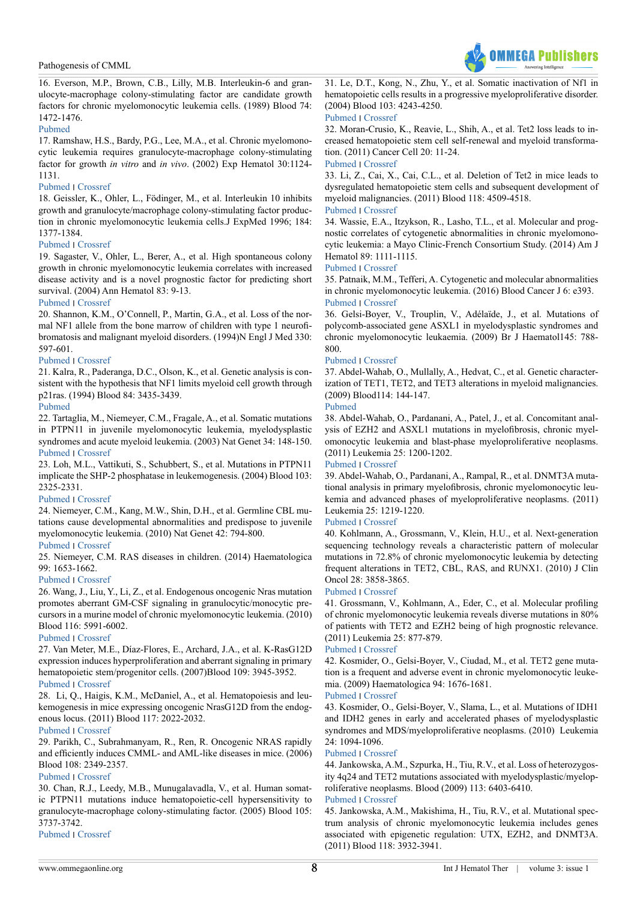

<span id="page-7-0"></span>16. Everson, M.P., Brown, C.B., Lilly, M.B. Interleukin-6 and granulocyte-macrophage colony-stimulating factor are candidate growth factors for chronic myelomonocytic leukemia cells. (1989) Blood 74: 1472-1476.

### [Pubmed](https://www.ncbi.nlm.nih.gov/pubmed/2676012)

17. Ramshaw, H.S., Bardy, P.G., Lee, M.A., et al. Chronic myelomonocytic leukemia requires granulocyte-macrophage colony-stimulating factor for growth *in vitro* and *in vivo*. (2002) Exp Hematol 30:1124- 1131.

### [Pubmed](https://www.ncbi.nlm.nih.gov/pubmed/12384142) ׀ [Crossref](http://www.exphem.org/article/S0301-472X(02)00903-7/abstract)

<span id="page-7-1"></span>18. Geissler, K., Ohler, L., Födinger, M., et al. Interleukin 10 inhibits growth and granulocyte/macrophage colony-stimulating factor production in chronic myelomonocytic leukemia cells.J ExpMed 1996; 184: 1377-1384.

### [Pubmed](https://www.ncbi.nlm.nih.gov/pubmed/8879210) ׀ [Crossref](http://jem.rupress.org/content/184/4/1377)

<span id="page-7-2"></span>19. Sagaster, V., Ohler, L., Berer, A., et al. High spontaneous colony growth in chronic myelomonocytic leukemia correlates with increased disease activity and is a novel prognostic factor for predicting short survival. (2004) Ann Hematol 83: 9-13.

### [Pubmed](https://www.ncbi.nlm.nih.gov/pubmed/13680175) ׀ [Crossref](http://link.springer.com/article/10.1007%2Fs00277-003-0743-9)

<span id="page-7-3"></span>20. Shannon, K.M., O'Connell, P., Martin, G.A., et al. Loss of the normal NF1 allele from the bone marrow of children with type 1 neurofibromatosis and malignant myeloid disorders. (1994)N Engl J Med 330: 597-601.

### [Pubmed](https://www.ncbi.nlm.nih.gov/pubmed/8302341) ׀ [Crossref](http://www.nejm.org/doi/full/10.1056/NEJM199403033300903)

21. Kalra, R., Paderanga, D.C., Olson, K., et al. Genetic analysis is consistent with the hypothesis that NF1 limits myeloid cell growth through p21ras. (1994) Blood 84: 3435-3439.

### [Pubmed](https://www.ncbi.nlm.nih.gov/pubmed/7949098)

22. Tartaglia, M., Niemeyer, C.M., Fragale, A., et al. Somatic mutations in PTPN11 in juvenile myelomonocytic leukemia, myelodysplastic syndromes and acute myeloid leukemia. (2003) Nat Genet 34: 148-150. [Pubmed](https://www.ncbi.nlm.nih.gov/pubmed/12717436) ׀ [Crossref](http://www.nature.com/ng/journal/v34/n2/full/ng1156.html)

23. Loh, M.L., Vattikuti, S., Schubbert, S., et al. Mutations in PTPN11 implicate the SHP-2 phosphatase in leukemogenesis. (2004) Blood 103: 2325-2331.

### [Pubmed](https://www.ncbi.nlm.nih.gov/pubmed/14644997) ׀ [Crossref](http://www.bloodjournal.org/content/103/6/2325?sso-checked=true)

24. Niemeyer, C.M., Kang, M.W., Shin, D.H., et al. Germline CBL mutations cause developmental abnormalities and predispose to juvenile myelomonocytic leukemia. (2010) Nat Genet 42: 794-800.

### [Pubmed](https://www.ncbi.nlm.nih.gov/pubmed/20694012) ׀ [Crossref](http://www.nature.com/ng/journal/v42/n9/full/ng.641.html)

25. Niemeyer, C.M. RAS diseases in children. (2014) Haematologica 99: 1653-1662.

### [Pubmed](https://www.ncbi.nlm.nih.gov/pubmed/25420281) ׀ [Crossref](http://www.haematologica.org/content/99/11/1653)

<span id="page-7-4"></span>26. Wang, J., Liu, Y., Li, Z., et al. Endogenous oncogenic Nras mutation promotes aberrant GM-CSF signaling in granulocytic/monocytic precursors in a murine model of chronic myelomonocytic leukemia. (2010) Blood 116: 5991-6002.

### [Pubmed](https://www.ncbi.nlm.nih.gov/pubmed/20921338) ׀ [Crossref](http://www.bloodjournal.org/content/116/26/5991)

<span id="page-7-5"></span>27. Van Meter, M.E., Díaz-Flores, E., Archard, J.A., et al. K-RasG12D expression induces hyperproliferation and aberrant signaling in primary hematopoietic stem/progenitor cells. (2007)Blood 109: 3945-3952. [Pubmed](https://www.ncbi.nlm.nih.gov/pubmed/17192389) ׀ [Crossref](http://www.bloodjournal.org/content/109/9/3945?sso-checked=true)

28. Li, Q., Haigis, K.M., McDaniel, A., et al. Hematopoiesis and leukemogenesis in mice expressing oncogenic NrasG12D from the endogenous locus. (2011) Blood 117: 2022-2032.

### [Pubmed](https://www.ncbi.nlm.nih.gov/pubmed/21163920) ׀ [Crossref](http://www.bloodjournal.org/content/117/6/2022)

29. Parikh, C., Subrahmanyam, R., Ren, R. Oncogenic NRAS rapidly and efficiently induces CMML- and AML-like diseases in mice. (2006) Blood 108: 2349-2357.

### [Pubmed](https://www.ncbi.nlm.nih.gov/pubmed/16763213) ׀ [Crossref](http://www.bloodjournal.org/content/108/7/2349)

30. Chan, R.J., Leedy, M.B., Munugalavadla, V., et al. Human somatic PTPN11 mutations induce hematopoietic-cell hypersensitivity to granulocyte-macrophage colony-stimulating factor. (2005) Blood 105: 3737-3742.

[Pubmed](https://www.ncbi.nlm.nih.gov/pubmed/15644411) ׀ [Crossref](http://www.bloodjournal.org/content/105/9/3737?sso-checked=true)

31. Le, D.T., Kong, N., Zhu, Y., et al. Somatic inactivation of Nf1 in hematopoietic cells results in a progressive myeloproliferative disorder. (2004) Blood 103: 4243-4250.

### [Pubmed](https://www.ncbi.nlm.nih.gov/pubmed/14982883) ׀ [Crossref](http://www.bloodjournal.org/content/103/11/4243)

<span id="page-7-6"></span>32. Moran-Crusio, K., Reavie, L., Shih, A., et al. Tet2 loss leads to increased hematopoietic stem cell self-renewal and myeloid transformation. (2011) Cancer Cell 20: 11-24.

### [Pubmed](https://www.ncbi.nlm.nih.gov/pubmed/21723200) ׀ [Crossref](http://www.cell.com/cancer-cell/abstract/S1535-6108(11)00222-4)

<span id="page-7-7"></span>33. Li, Z., Cai, X., Cai, C.L., et al. Deletion of Tet2 in mice leads to dysregulated hematopoietic stem cells and subsequent development of myeloid malignancies. (2011) Blood 118: 4509-4518.

### [Pubmed](https://www.ncbi.nlm.nih.gov/pubmed/21803851) ׀ [Crossref](http://www.bloodjournal.org/content/118/17/4509)

<span id="page-7-8"></span>34. Wassie, E.A., Itzykson, R., Lasho, T.L., et al. Molecular and prognostic correlates of cytogenetic abnormalities in chronic myelomonocytic leukemia: a Mayo Clinic-French Consortium Study. (2014) Am J Hematol 89: 1111-1115.

### [Pubmed](https://www.ncbi.nlm.nih.gov/pubmed/25195656) ׀ [Crossref](http://onlinelibrary.wiley.com/doi/10.1002/ajh.23846/abstract)

<span id="page-7-9"></span>35. Patnaik, M.M., Tefferi, A. Cytogenetic and molecular abnormalities in chronic myelomonocytic leukemia. (2016) Blood Cancer J 6: e393. [Pubmed](https://www.ncbi.nlm.nih.gov/pubmed/26849014) ׀ [Crossref](http://www.nature.com/bcj/journal/v6/n2/full/bcj20165a.html)

<span id="page-7-10"></span>36. Gelsi-Boyer, V., Trouplin, V., Adélaïde, J., et al. Mutations of polycomb-associated gene ASXL1 in myelodysplastic syndromes and chronic myelomonocytic leukaemia. (2009) Br J Haematol145: 788- 800.

### [Pubmed](https://www.ncbi.nlm.nih.gov/pubmed/19388938) ׀ [Crossref](http://onlinelibrary.wiley.com/doi/10.1111/j.1365-2141.2009.07697.x/abstract)

37. Abdel-Wahab, O., Mullally, A., Hedvat, C., et al. Genetic characterization of TET1, TET2, and TET3 alterations in myeloid malignancies. (2009) Blood114: 144-147.

### [Pubmed](https://www.ncbi.nlm.nih.gov/pubmed/19420352)

38. Abdel-Wahab, O., Pardanani, A., Patel, J., et al. Concomitant analysis of EZH2 and ASXL1 mutations in myelofibrosis, chronic myelomonocytic leukemia and blast-phase myeloproliferative neoplasms. (2011) Leukemia 25: 1200-1202.

### [Pubmed](https://www.ncbi.nlm.nih.gov/pubmed/21455215) ׀ [Crossref](http://www.nature.com/leu/journal/v25/n7/full/leu201158a.html)

39. Abdel-Wahab, O., Pardanani, A., Rampal, R., et al. DNMT3A mutational analysis in primary myelofibrosis, chronic myelomonocytic leukemia and advanced phases of myeloproliferative neoplasms. (2011) Leukemia 25: 1219-1220.

### [Pubmed](https://www.ncbi.nlm.nih.gov/pubmed/21519343) ׀ [Crossref](http://www.nature.com/leu/journal/v25/n7/full/leu201182a.html)

40. Kohlmann, A., Grossmann, V., Klein, H.U., et al. Next-generation sequencing technology reveals a characteristic pattern of molecular mutations in 72.8% of chronic myelomonocytic leukemia by detecting frequent alterations in TET2, CBL, RAS, and RUNX1. (2010) J Clin Oncol 28: 3858-3865.

### [Pubmed](https://www.ncbi.nlm.nih.gov/pubmed/20644105) ׀ [Crossref](http://ascopubs.org/doi/full/10.1200/JCO.2009.27.1361)

41. Grossmann, V., Kohlmann, A., Eder, C., et al. Molecular profiling of chronic myelomonocytic leukemia reveals diverse mutations in 80% of patients with TET2 and EZH2 being of high prognostic relevance. (2011) Leukemia 25: 877-879.

### [Pubmed](https://www.ncbi.nlm.nih.gov/pubmed/21339759) ׀ [Crossref](http://www.nature.com/leu/journal/v25/n5/full/leu201110a.html)

42. Kosmider, O., Gelsi-Boyer, V., Ciudad, M., et al. TET2 gene mutation is a frequent and adverse event in chronic myelomonocytic leukemia. (2009) Haematologica 94: 1676-1681.

### [Pubmed](https://www.ncbi.nlm.nih.gov/pubmed/19797729) ׀ [Crossref](http://www.haematologica.org/content/94/12/1676)

43. Kosmider, O., Gelsi-Boyer, V., Slama, L., et al. Mutations of IDH1 and IDH2 genes in early and accelerated phases of myelodysplastic syndromes and MDS/myeloproliferative neoplasms. (2010) Leukemia 24: 1094-1096.

### [Pubmed](https://www.ncbi.nlm.nih.gov/pubmed/20376084) ׀ [Crossref](http://www.nature.com/leu/journal/v24/n5/full/leu201052a.html)

44. Jankowska, A.M., Szpurka, H., Tiu, R.V., et al. Loss of heterozygosity 4q24 and TET2 mutations associated with myelodysplastic/myeloproliferative neoplasms. Blood (2009) 113: 6403-6410.

### [Pubmed](https://www.ncbi.nlm.nih.gov/pubmed/19372255) ׀ [Crossref](http://www.bloodjournal.org/content/113/25/6403?sso-checked=true)

<span id="page-7-11"></span>45. Jankowska, A.M., Makishima, H., Tiu, R.V., et al. Mutational spectrum analysis of chronic myelomonocytic leukemia includes genes associated with epigenetic regulation: UTX, EZH2, and DNMT3A. (2011) Blood 118: 3932-3941.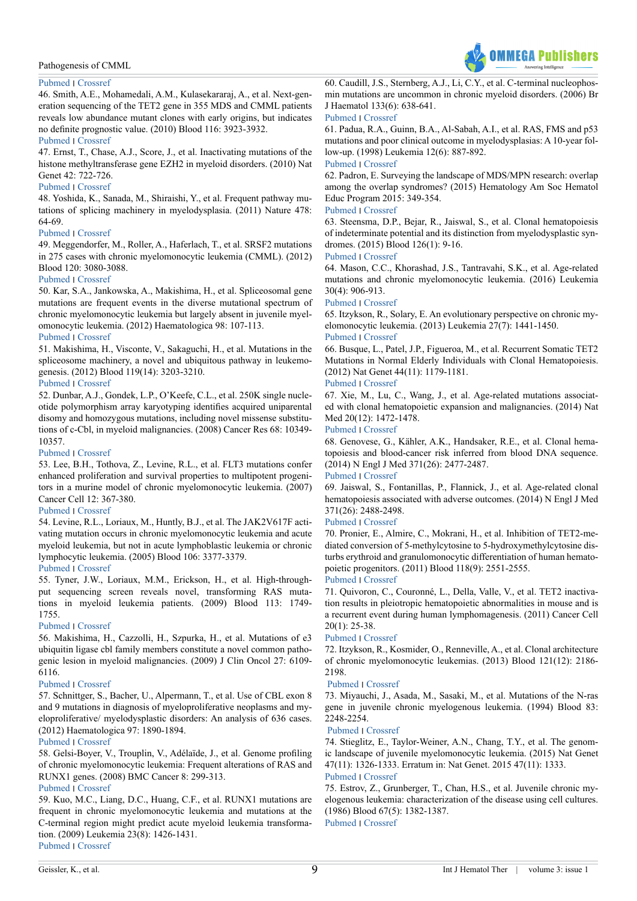# **OMMFGA Publishers**

### Pathogenesis of CMML

### [Pubmed](https://www.ncbi.nlm.nih.gov/pubmed/21828135) ׀ [Crossref](http://www.bloodjournal.org/content/118/14/3932)

46. Smith, A.E., Mohamedali, A.M., Kulasekararaj, A., et al. Next-generation sequencing of the TET2 gene in 355 MDS and CMML patients reveals low abundance mutant clones with early origins, but indicates no definite prognostic value. (2010) Blood 116: 3923-3932.

### [Pubmed](https://www.ncbi.nlm.nih.gov/pubmed/20693430) ׀ [Crossref](http://www.bloodjournal.org/content/116/19/3923)

47. Ernst, T., Chase, A.J., Score, J., et al. Inactivating mutations of the histone methyltransferase gene EZH2 in myeloid disorders. (2010) Nat Genet 42: 722-726.

### [Pubmed](https://www.ncbi.nlm.nih.gov/pubmed/20601953) ׀ [Crossref](http://www.nature.com/ng/journal/v42/n8/full/ng.621.html)

<span id="page-8-0"></span>48. Yoshida, K., Sanada, M., Shiraishi, Y., et al. Frequent pathway mutations of splicing machinery in myelodysplasia. (2011) Nature 478: 64-69.

### [Pubmed](https://www.ncbi.nlm.nih.gov/pubmed/21909114) ׀ [Crossref](http://www.nature.com/nature/journal/v478/n7367/full/nature10496.html)

49. Meggendorfer, M., Roller, A., Haferlach, T., et al. SRSF2 mutations in 275 cases with chronic myelomonocytic leukemia (CMML). (2012) Blood 120: 3080-3088.

### [Pubmed](https://www.ncbi.nlm.nih.gov/pubmed/22919025) ׀ [Crossref](http://www.bloodjournal.org/content/120/15/3080?sso-checked=true)

50. Kar, S.A., Jankowska, A., Makishima, H., et al. Spliceosomal gene mutations are frequent events in the diverse mutational spectrum of chronic myelomonocytic leukemia but largely absent in juvenile myelomonocytic leukemia. (2012) Haematologica 98: 107-113. [Pubmed](https://www.ncbi.nlm.nih.gov/pubmed/22773603) ׀ [Crossref](http://www.haematologica.org/content/98/1/107)

51. Makishima, H., Visconte, V., Sakaguchi, H., et al. Mutations in the spliceosome machinery, a novel and ubiquitous pathway in leukemogenesis. (2012) Blood 119(14): 3203-3210.

### [Pubmed](https://www.ncbi.nlm.nih.gov/pubmed/22323480) ׀ [Crossref](http://www.bloodjournal.org/content/119/14/3203?sso-checked=true)

<span id="page-8-1"></span>52. Dunbar, A.J., Gondek, L.P., O'Keefe, C.L., et al. 250K single nucleotide polymorphism array karyotyping identifies acquired uniparental disomy and homozygous mutations, including novel missense substitutions of c-Cbl, in myeloid malignancies. (2008) Cancer Res 68: 10349- 10357.

[Pubmed](https://www.ncbi.nlm.nih.gov/pubmed/19074904) ׀ [Crossref](https://doi.org/10.1158/0008-5472.CAN-08-2754)

53. Lee, B.H., Tothova, Z., Levine, R.L., et al. FLT3 mutations confer enhanced proliferation and survival properties to multipotent progenitors in a murine model of chronic myelomonocytic leukemia. (2007) Cancer Cell 12: 367-380.

### [Pubmed](https://www.ncbi.nlm.nih.gov/pubmed/17936561) ׀ [Crossref](https://doi.org/10.1016/j.ccr.2007.08.031)

54. Levine, R.L., Loriaux, M., Huntly, B.J., et al. The JAK2V617F activating mutation occurs in chronic myelomonocytic leukemia and acute myeloid leukemia, but not in acute lymphoblastic leukemia or chronic lymphocytic leukemia. (2005) Blood 106: 3377-3379.

### [Pubmed](https://www.ncbi.nlm.nih.gov/pubmed/16081687) ׀ [Crossref](https://doi.org/10.1182/blood-2005-05-1898)

55. Tyner, J.W., Loriaux, M.M., Erickson, H., et al. High-throughput sequencing screen reveals novel, transforming RAS mutations in myeloid leukemia patients. (2009) Blood 113: 1749- 1755.

### [Pubmed](https://www.ncbi.nlm.nih.gov/pubmed/19075190) ׀ [Crossref](https://doi.org/10.1182/blood-2008-04-152157)

56. Makishima, H., Cazzolli, H., Szpurka, H., et al. Mutations of e3 ubiquitin ligase cbl family members constitute a novel common pathogenic lesion in myeloid malignancies. (2009) J Clin Oncol 27: 6109- 6116.

### [Pubmed](https://www.ncbi.nlm.nih.gov/pubmed/19901108) ׀ [Crossref](https://doi.org/10.1200/JCO.2009.23.7503)

57. Schnittger, S., Bacher, U., Alpermann, T., et al. Use of CBL exon 8 and 9 mutations in diagnosis of myeloproliferative neoplasms and myeloproliferative/ myelodysplastic disorders: An analysis of 636 cases. (2012) Haematologica 97: 1890-1894.

### [Pubmed](https://www.ncbi.nlm.nih.gov/pubmed/22733026) ׀ [Crossref](https://doi.org/10.3324/haematol.2012.065375)

<span id="page-8-2"></span>58. Gelsi-Boyer, V., Trouplin, V., Adélaïde, J., et al. Genome profiling of chronic myelomonocytic leukemia: Frequent alterations of RAS and RUNX1 genes. (2008) BMC Cancer 8: 299-313.

### [Pubmed](https://www.ncbi.nlm.nih.gov/pmc/articles/PMC2588460/) ׀ [Crossref](https://doi.org/10.1186/1471-2407-8-299)

59. Kuo, M.C., Liang, D.C., Huang, C.F., et al. RUNX1 mutations are frequent in chronic myelomonocytic leukemia and mutations at the C-terminal region might predict acute myeloid leukemia transformation. (2009) Leukemia 23(8): 1426-1431. [Pubmed](https://www.ncbi.nlm.nih.gov/pubmed/19282830) ׀ [Crossref](https://doi.org/10.1038/leu.2009.48)

<span id="page-8-3"></span>60. Caudill, J.S., Sternberg, A.J., Li, C.Y., et al. C-terminal nucleophosmin mutations are uncommon in chronic myeloid disorders. (2006) Br J Haematol 133(6): 638-641.

### [Pubmed](https://www.ncbi.nlm.nih.gov/pubmed/16704439) ׀ [Crossref](https://doi.org/10.1111/j.1365-2141.2006.06081.x)

<span id="page-8-4"></span>61. Padua, R.A., Guinn, B.A., Al-Sabah, A.I., et al. RAS, FMS and p53 mutations and poor clinical outcome in myelodysplasias: A 10-year follow-up. (1998) Leukemia 12(6): 887-892.

### [Pubmed](https://www.ncbi.nlm.nih.gov/pubmed/9639416) ׀ [Crossref](https://doi.org/10.1038/sj.leu.2401044)

<span id="page-8-5"></span>62. Padron, E. Surveying the landscape of MDS/MPN research: overlap among the overlap syndromes? (2015) Hematology Am Soc Hematol Educ Program 2015: 349-354.

### [Pubmed](https://www.ncbi.nlm.nih.gov/pubmed/26637742) ׀ [Crossref](https://doi.org/10.1182/asheducation-2015.1.349)

<span id="page-8-6"></span>63. Steensma, D.P., Bejar, R., Jaiswal, S., et al. Clonal hematopoiesis of indeterminate potential and its distinction from myelodysplastic syndromes. (2015) Blood 126(1): 9-16.

### [Pubmed](https://www.ncbi.nlm.nih.gov/pubmed/25931582) ׀ [Crossref](https://doi.org/10.1182/blood-2015-03-631747)

<span id="page-8-7"></span>64. Mason, C.C., Khorashad, J.S., Tantravahi, S.K., et al. Age-related mutations and chronic myelomonocytic leukemia. (2016) Leukemia 30(4): 906-913.

### [Pubmed](https://www.ncbi.nlm.nih.gov/pubmed/26648538) ׀ [Crossref](https://doi.org/10.1038/leu.2015.337)

<span id="page-8-8"></span>65. Itzykson, R., Solary, E. An evolutionary perspective on chronic myelomonocytic leukemia. (2013) Leukemia 27(7): 1441-1450. [Pubmed](https://www.ncbi.nlm.nih.gov/pubmed/23558522) ׀ [Crossref](https://doi.org/10.1038/leu.2013.100)

<span id="page-8-9"></span>66. Busque, L., Patel, J.P., Figueroa, M., et al. Recurrent Somatic TET2 Mutations in Normal Elderly Individuals with Clonal Hematopoiesis. (2012) Nat Genet 44(11): 1179-1181.

### [Pubmed](https://www.ncbi.nlm.nih.gov/pubmed/23001125) ׀ [Crossref](https://doi.org/10.1038/ng.2413)

67. Xie, M., Lu, C., Wang, J., et al. Age-related mutations associated with clonal hematopoietic expansion and malignancies. (2014) Nat Med 20(12): 1472-1478.

### [Pubmed](https://www.ncbi.nlm.nih.gov/pubmed/25326804) ׀ [Crossref](https://doi.org/10.1038/nm.3733)

<span id="page-8-13"></span>68. Genovese, G., Kähler, A.K., Handsaker, R.E., et al. Clonal hematopoiesis and blood-cancer risk inferred from blood DNA sequence. (2014) N Engl J Med 371(26): 2477-2487.

### [Pubmed](https://www.ncbi.nlm.nih.gov/pubmed/25426838) ׀ [Crossref](https://doi.org/10.1056/NEJMoa1409405)

69. Jaiswal, S., Fontanillas, P., Flannick, J., et al. Age-related clonal hematopoiesis associated with adverse outcomes. (2014) N Engl J Med 371(26): 2488-2498.

### [Pubmed](https://www.ncbi.nlm.nih.gov/pubmed/25426837) ׀ [Crossref](https://doi.org/10.1056/NEJMoa1408617)

70. Pronier, E., Almire, C., Mokrani, H., et al. Inhibition of TET2-mediated conversion of 5-methylcytosine to 5-hydroxymethylcytosine disturbs erythroid and granulomonocytic differentiation of human hematopoietic progenitors. (2011) Blood 118(9): 2551-2555.

### [Pubmed](https://www.ncbi.nlm.nih.gov/pubmed/21734233) ׀ [Crossref](https://doi.org/10.1182/blood-2010-12-324707)

71. Quivoron, C., Couronné, L., Della, Valle, V., et al. TET2 inactivation results in pleiotropic hematopoietic abnormalities in mouse and is a recurrent event during human lymphomagenesis. (2011) Cancer Cell 20(1): 25-38.

### [Pubmed](https://www.ncbi.nlm.nih.gov/pubmed/21723201) ׀ [Crossref](http://www.cell.com/cancer-cell/abstract/S1535-6108(11)00274-1)

<span id="page-8-10"></span>72. Itzykson, R., Kosmider, O., Renneville, A., et al. Clonal architecture of chronic myelomonocytic leukemias. (2013) Blood 121(12): 2186- 2198.

### [Pubmed](https://www.ncbi.nlm.nih.gov/pubmed/23319568) ׀ [Crossref](https://doi.org/10.1182/blood-2012-06-440347)

<span id="page-8-11"></span>73. Miyauchi, J., Asada, M., Sasaki, M., et al. Mutations of the N-ras gene in juvenile chronic myelogenous leukemia. (1994) Blood 83: 2248-2254.

### [Pubmed](https://www.ncbi.nlm.nih.gov/pubmed/8161790) ׀ [Crossref](http://www.bloodjournal.org/content/bloodjournal/83/8/2248.full.pdf?sso-checked=true)

74. Stieglitz, E., Taylor-Weiner, A.N., Chang, T.Y., et al. The genomic landscape of juvenile myelomonocytic leukemia. (2015) Nat Genet 47(11): 1326-1333. Erratum in: Nat Genet. 2015 47(11): 1333. [Pubmed](https://www.ncbi.nlm.nih.gov/pubmed/26457647) ׀ [Crossref](https://doi.org/10.1038/ng.3400)

### <span id="page-8-12"></span>75. Estrov, Z., Grunberger, T., Chan, H.S., et al. Juvenile chronic myelogenous leukemia: characterization of the disease using cell cultures. (1986) Blood 67(5): 1382-1387. [Pubmed](https://www.ncbi.nlm.nih.gov/pubmed/3486010) ׀ [Crossref](http://www.bloodjournal.org/content/bloodjournal/67/5/1382.full.pdf?sso-checked=true)